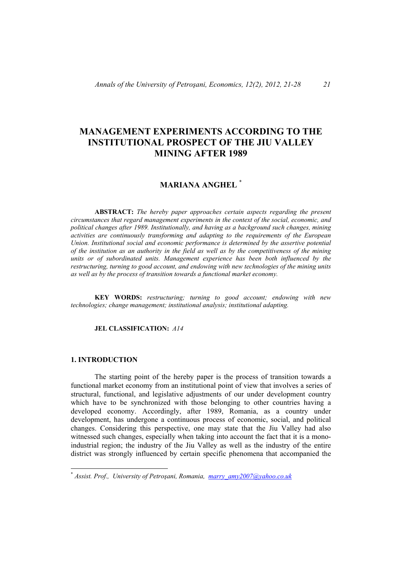# **MANAGEMENT EXPERIMENTS ACCORDING TO THE INSTITUTIONAL PROSPECT OF THE JIU VALLEY MINING AFTER 1989**

## **MARIANA ANGHEL** \*

**ABSTRACT:** *The hereby paper approaches certain aspects regarding the present circumstances that regard management experiments in the context of the social, economic, and political changes after 1989. Institutionally, and having as a background such changes, mining activities are continuously transforming and adapting to the requirements of the European Union. Institutional social and economic performance is determined by the assertive potential of the institution as an authority in the field as well as by the competitiveness of the mining units or of subordinated units. Management experience has been both influenced by the restructuring, turning to good account, and endowing with new technologies of the mining units as well as by the process of transition towards a functional market economy.* 

**KEY WORDS:** *restructuring; turning to good account; endowing with new technologies; change management; institutional analysis; institutional adapting.*

## **JEL CLASSIFICATION:** *A14*

## **1. INTRODUCTION**

 $\overline{a}$ 

The starting point of the hereby paper is the process of transition towards a functional market economy from an institutional point of view that involves a series of structural, functional, and legislative adjustments of our under development country which have to be synchronized with those belonging to other countries having a developed economy. Accordingly, after 1989, Romania, as a country under development, has undergone a continuous process of economic, social, and political changes. Considering this perspective, one may state that the Jiu Valley had also witnessed such changes, especially when taking into account the fact that it is a monoindustrial region; the industry of the Jiu Valley as well as the industry of the entire district was strongly influenced by certain specific phenomena that accompanied the

<sup>\*</sup> *Assist. Prof., University of Petroşani, Romania, marry\_amy2007@yahoo.co.uk*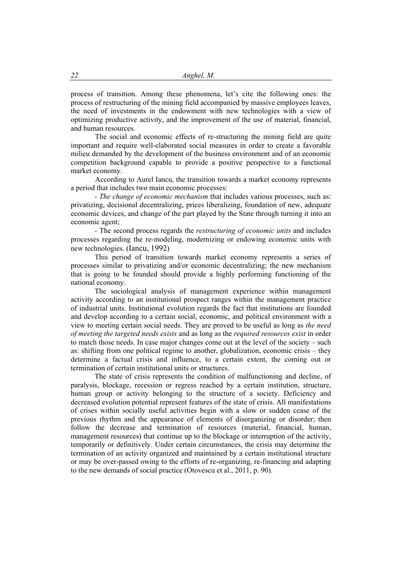process of transition. Among these phenomena, let's cite the following ones: the process of restructuring of the mining field accompanied by massive employees leaves, the need of investments in the endowment with new technologies with a view of optimizing productive activity, and the improvement of the use of material, financial, and human resources.

 The social and economic effects of re-structuring the mining field are quite important and require well-elaborated social measures in order to create a favorable milieu demanded by the development of the business environment and of an economic competition background capable to provide a positive perspective to a functional market economy.

 According to Aurel Iancu, the transition towards a market economy represents a period that includes two main economic processes:

*- The change of economic mechanism* that includes various processes, such as: privatizing, decisional decentralizing, prices liberalizing, foundation of new, adequate economic devices, and change of the part played by the State through turning it into an economic agent;

*-* The second process regards the *restructuring of economic units* and includes processes regarding the re-modeling, modernizing or endowing economic units with new technologies. (Iancu, 1992)

This period of transition towards market economy represents a series of processes similar to privatizing and/or economic decentralizing; the new mechanism that is going to be founded should provide a highly performing functioning of the national economy.

The sociological analysis of management experience within management activity according to an institutional prospect ranges within the management practice of industrial units. Institutional evolution regards the fact that institutions are founded and develop according to a certain social, economic, and political environment with a view to meeting certain social needs. They are proved to be useful as long as *the need of meeting the targeted needs exists* and as long as the *required resources exist* in order to match those needs. In case major changes come out at the level of the society – such as: shifting from one political regime to another, globalization, economic crisis – they determine a factual crisis and influence, to a certain extent, the coming out or termination of certain institutional units or structures.

The state of crisis represents the condition of malfunctioning and decline, of paralysis, blockage, recession or regress reached by a certain institution, structure, human group or activity belonging to the structure of a society. Deficiency and decreased evolution potential represent features of the state of crisis. All manifestations of crises within socially useful activities begin with a slow or sudden cease of the previous rhythm and the appearance of elements of disorganizing or disorder; then follow the decrease and termination of resources (material, financial, human, management resources) that continue up to the blockage or interruption of the activity, temporarily or definitively. Under certain circumstances, the crisis may determine the termination of an activity organized and maintained by a certain institutional structure or may be over-passed owing to the efforts of re-organizing, re-financing and adapting to the new demands of social practice (Otovescu et al., 2011, p. 90).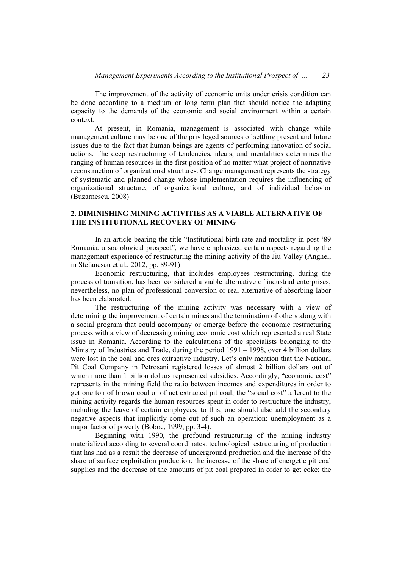The improvement of the activity of economic units under crisis condition can be done according to a medium or long term plan that should notice the adapting capacity to the demands of the economic and social environment within a certain context.

At present, in Romania, management is associated with change while management culture may be one of the privileged sources of settling present and future issues due to the fact that human beings are agents of performing innovation of social actions. The deep restructuring of tendencies, ideals, and mentalities determines the ranging of human resources in the first position of no matter what project of normative reconstruction of organizational structures. Change management represents the strategy of systematic and planned change whose implementation requires the influencing of organizational structure, of organizational culture, and of individual behavior (Buzarnescu, 2008)

## **2. DIMINISHING MINING ACTIVITIES AS A VIABLE ALTERNATIVE OF THE INSTITUTIONAL RECOVERY OF MINING**

In an article bearing the title "Institutional birth rate and mortality in post '89 Romania: a sociological prospect", we have emphasized certain aspects regarding the management experience of restructuring the mining activity of the Jiu Valley (Anghel, in Stefanescu et al., 2012, pp. 89-91)

Economic restructuring, that includes employees restructuring, during the process of transition, has been considered a viable alternative of industrial enterprises; nevertheless, no plan of professional conversion or real alternative of absorbing labor has been elaborated.

The restructuring of the mining activity was necessary with a view of determining the improvement of certain mines and the termination of others along with a social program that could accompany or emerge before the economic restructuring process with a view of decreasing mining economic cost which represented a real State issue in Romania. According to the calculations of the specialists belonging to the Ministry of Industries and Trade, during the period 1991 – 1998, over 4 billion dollars were lost in the coal and ores extractive industry. Let's only mention that the National Pit Coal Company in Petrosani registered losses of almost 2 billion dollars out of which more than 1 billion dollars represented subsidies. Accordingly, "economic cost" represents in the mining field the ratio between incomes and expenditures in order to get one ton of brown coal or of net extracted pit coal; the "social cost" afferent to the mining activity regards the human resources spent in order to restructure the industry, including the leave of certain employees; to this, one should also add the secondary negative aspects that implicitly come out of such an operation: unemployment as a major factor of poverty (Boboc, 1999, pp. 3-4).

Beginning with 1990, the profound restructuring of the mining industry materialized according to several coordinates: technological restructuring of production that has had as a result the decrease of underground production and the increase of the share of surface exploitation production; the increase of the share of energetic pit coal supplies and the decrease of the amounts of pit coal prepared in order to get coke; the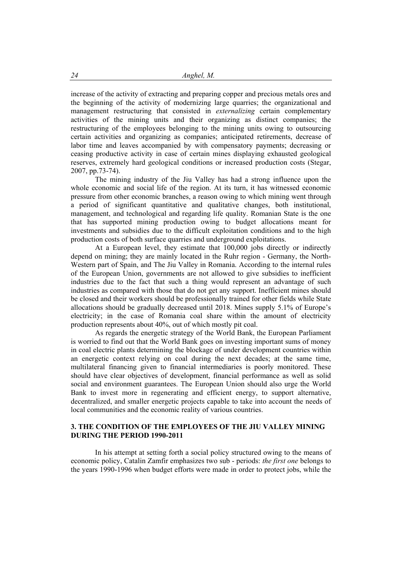increase of the activity of extracting and preparing copper and precious metals ores and the beginning of the activity of modernizing large quarries; the organizational and management restructuring that consisted in *externalizing* certain complementary activities of the mining units and their organizing as distinct companies; the restructuring of the employees belonging to the mining units owing to outsourcing certain activities and organizing as companies; anticipated retirements, decrease of labor time and leaves accompanied by with compensatory payments; decreasing or ceasing productive activity in case of certain mines displaying exhausted geological reserves, extremely hard geological conditions or increased production costs (Stegar, 2007, pp.73-74).

The mining industry of the Jiu Valley has had a strong influence upon the whole economic and social life of the region. At its turn, it has witnessed economic pressure from other economic branches, a reason owing to which mining went through a period of significant quantitative and qualitative changes, both institutional, management, and technological and regarding life quality. Romanian State is the one that has supported mining production owing to budget allocations meant for investments and subsidies due to the difficult exploitation conditions and to the high production costs of both surface quarries and underground exploitations.

At a European level, they estimate that 100,000 jobs directly or indirectly depend on mining; they are mainly located in the Ruhr region - Germany, the North-Western part of Spain, and The Jiu Valley in Romania. According to the internal rules of the European Union, governments are not allowed to give subsidies to inefficient industries due to the fact that such a thing would represent an advantage of such industries as compared with those that do not get any support. Inefficient mines should be closed and their workers should be professionally trained for other fields while State allocations should be gradually decreased until 2018. Mines supply 5.1% of Europe's electricity; in the case of Romania coal share within the amount of electricity production represents about 40%, out of which mostly pit coal.

As regards the energetic strategy of the World Bank, the European Parliament is worried to find out that the World Bank goes on investing important sums of money in coal electric plants determining the blockage of under development countries within an energetic context relying on coal during the next decades; at the same time, multilateral financing given to financial intermediaries is poorly monitored. These should have clear objectives of development, financial performance as well as solid social and environment guarantees. The European Union should also urge the World Bank to invest more in regenerating and efficient energy, to support alternative, decentralized, and smaller energetic projects capable to take into account the needs of local communities and the economic reality of various countries.

## **3. THE CONDITION OF THE EMPLOYEES OF THE JIU VALLEY MINING DURING THE PERIOD 1990-2011**

In his attempt at setting forth a social policy structured owing to the means of economic policy, Catalin Zamfir emphasizes two sub - periods: *the first one* belongs to the years 1990-1996 when budget efforts were made in order to protect jobs, while the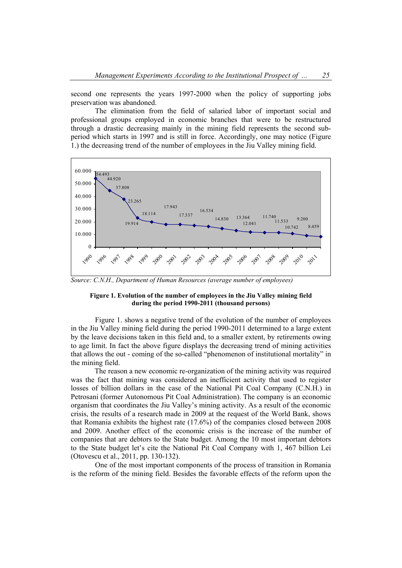second one represents the years 1997-2000 when the policy of supporting jobs preservation was abandoned.

The elimination from the field of salaried labor of important social and professional groups employed in economic branches that were to be restructured through a drastic decreasing mainly in the mining field represents the second subperiod which starts in 1997 and is still in force. Accordingly, one may notice (Figure 1.) the decreasing trend of the number of employees in the Jiu Valley mining field.



*Source: C.N.H., Department of Human Resources (average number of employees)* 

#### **Figure 1. Evolution of the number of employees in the Jiu Valley mining field during the period 1990-2011 (thousand persons)**

 Figure 1. shows a negative trend of the evolution of the number of employees in the Jiu Valley mining field during the period 1990-2011 determined to a large extent by the leave decisions taken in this field and, to a smaller extent, by retirements owing to age limit. In fact the above figure displays the decreasing trend of mining activities that allows the out - coming of the so-called "phenomenon of institutional mortality" in the mining field.

The reason a new economic re-organization of the mining activity was required was the fact that mining was considered an inefficient activity that used to register losses of billion dollars in the case of the National Pit Coal Company (C.N.H.) in Petrosani (former Autonomous Pit Coal Administration). The company is an economic organism that coordinates the Jiu Valley's mining activity. As a result of the economic crisis, the results of a research made in 2009 at the request of the World Bank, shows that Romania exhibits the highest rate (17.6%) of the companies closed between 2008 and 2009. Another effect of the economic crisis is the increase of the number of companies that are debtors to the State budget. Among the 10 most important debtors to the State budget let's cite the National Pit Coal Company with 1, 467 billion Lei (Otovescu et al., 2011, pp. 130-132).

One of the most important components of the process of transition in Romania is the reform of the mining field. Besides the favorable effects of the reform upon the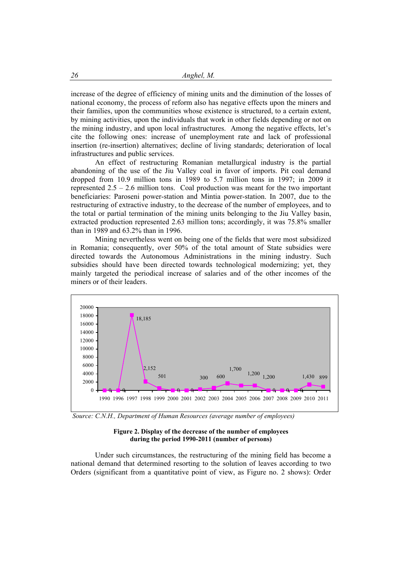increase of the degree of efficiency of mining units and the diminution of the losses of national economy, the process of reform also has negative effects upon the miners and their families, upon the communities whose existence is structured, to a certain extent, by mining activities, upon the individuals that work in other fields depending or not on the mining industry, and upon local infrastructures. Among the negative effects, let's cite the following ones: increase of unemployment rate and lack of professional insertion (re-insertion) alternatives; decline of living standards; deterioration of local infrastructures and public services.

An effect of restructuring Romanian metallurgical industry is the partial abandoning of the use of the Jiu Valley coal in favor of imports. Pit coal demand dropped from 10.9 million tons in 1989 to 5.7 million tons in 1997; in 2009 it represented  $2.5 - 2.6$  million tons. Coal production was meant for the two important beneficiaries: Paroseni power-station and Mintia power-station. In 2007, due to the restructuring of extractive industry, to the decrease of the number of employees, and to the total or partial termination of the mining units belonging to the Jiu Valley basin, extracted production represented 2.63 million tons; accordingly, it was 75.8% smaller than in 1989 and 63.2% than in 1996.

Mining nevertheless went on being one of the fields that were most subsidized in Romania; consequently, over 50% of the total amount of State subsidies were directed towards the Autonomous Administrations in the mining industry. Such subsidies should have been directed towards technological modernizing; yet, they mainly targeted the periodical increase of salaries and of the other incomes of the miners or of their leaders.



 *Source: C.N.H., Department of Human Resources (average number of employees)* 



Under such circumstances, the restructuring of the mining field has become a national demand that determined resorting to the solution of leaves according to two Orders (significant from a quantitative point of view, as Figure no. 2 shows): Order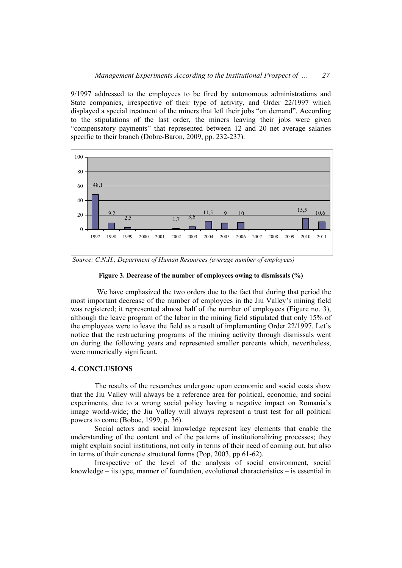9/1997 addressed to the employees to be fired by autonomous administrations and State companies, irrespective of their type of activity, and Order 22/1997 which displayed a special treatment of the miners that left their jobs "on demand". According to the stipulations of the last order, the miners leaving their jobs were given "compensatory payments" that represented between 12 and 20 net average salaries specific to their branch (Dobre-Baron, 2009, pp. 232-237).



 *Source: C.N.H., Department of Human Resources (average number of employees)*

#### **Figure 3. Decrease of the number of employees owing to dismissals (%)**

 We have emphasized the two orders due to the fact that during that period the most important decrease of the number of employees in the Jiu Valley's mining field was registered; it represented almost half of the number of employees (Figure no. 3), although the leave program of the labor in the mining field stipulated that only 15% of the employees were to leave the field as a result of implementing Order 22/1997. Let's notice that the restructuring programs of the mining activity through dismissals went on during the following years and represented smaller percents which, nevertheless, were numerically significant.

## **4. CONCLUSIONS**

The results of the researches undergone upon economic and social costs show that the Jiu Valley will always be a reference area for political, economic, and social experiments, due to a wrong social policy having a negative impact on Romania's image world-wide; the Jiu Valley will always represent a trust test for all political powers to come (Boboc, 1999, p. 36).

Social actors and social knowledge represent key elements that enable the understanding of the content and of the patterns of institutionalizing processes; they might explain social institutions, not only in terms of their need of coming out, but also in terms of their concrete structural forms (Pop, 2003, pp 61-62).

Irrespective of the level of the analysis of social environment, social knowledge – its type, manner of foundation, evolutional characteristics – is essential in